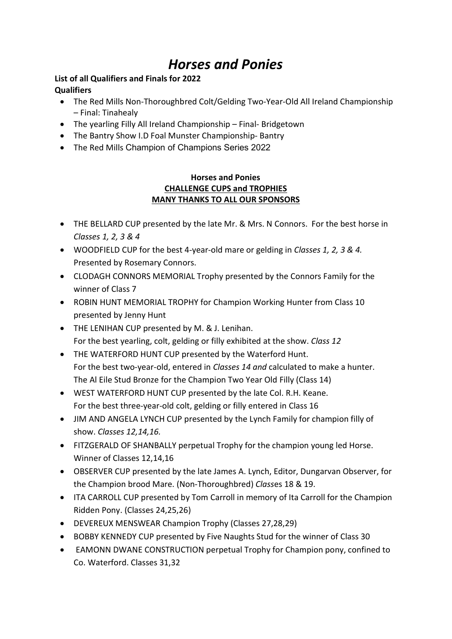# Horses and Ponies

## List of all Qualifiers and Finals for 2022 **Qualifiers**

- The Red Mills Non-Thoroughbred Colt/Gelding Two-Year-Old All Ireland Championship – Final: Tinahealy
- The yearling Filly All Ireland Championship Final- Bridgetown
- The Bantry Show I.D Foal Munster Championship-Bantry
- The Red Mills Champion of Champions Series 2022

## Horses and Ponies CHALLENGE CUPS and TROPHIES MANY THANKS TO ALL OUR SPONSORS

- THE BELLARD CUP presented by the late Mr. & Mrs. N Connors. For the best horse in Classes 1, 2, 3 & 4
- WOODFIELD CUP for the best 4-year-old mare or gelding in Classes 1, 2, 3 & 4. Presented by Rosemary Connors.
- CLODAGH CONNORS MEMORIAL Trophy presented by the Connors Family for the winner of Class 7
- ROBIN HUNT MEMORIAL TROPHY for Champion Working Hunter from Class 10 presented by Jenny Hunt
- THE LENIHAN CUP presented by M. & J. Lenihan. For the best yearling, colt, gelding or filly exhibited at the show. Class 12
- THE WATERFORD HUNT CUP presented by the Waterford Hunt. For the best two-year-old, entered in Classes 14 and calculated to make a hunter. The Al Eile Stud Bronze for the Champion Two Year Old Filly (Class 14)
- WEST WATERFORD HUNT CUP presented by the late Col. R.H. Keane. For the best three-year-old colt, gelding or filly entered in Class 16
- JIM AND ANGELA LYNCH CUP presented by the Lynch Family for champion filly of show. Classes 12,14,16.
- FITZGERALD OF SHANBALLY perpetual Trophy for the champion young led Horse. Winner of Classes 12,14,16
- OBSERVER CUP presented by the late James A. Lynch, Editor, Dungarvan Observer, for the Champion brood Mare. (Non-Thoroughbred) Classes 18 & 19.
- ITA CARROLL CUP presented by Tom Carroll in memory of Ita Carroll for the Champion Ridden Pony. (Classes 24,25,26)
- DEVEREUX MENSWEAR Champion Trophy (Classes 27,28,29)
- BOBBY KENNEDY CUP presented by Five Naughts Stud for the winner of Class 30
- EAMONN DWANE CONSTRUCTION perpetual Trophy for Champion pony, confined to Co. Waterford. Classes 31,32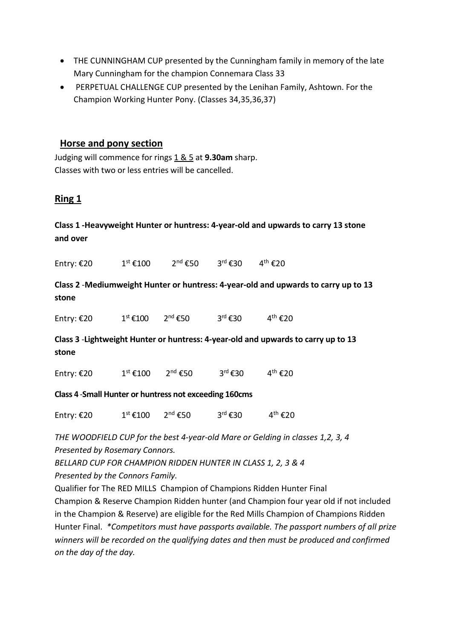- THE CUNNINGHAM CUP presented by the Cunningham family in memory of the late Mary Cunningham for the champion Connemara Class 33
- PERPETUAL CHALLENGE CUP presented by the Lenihan Family, Ashtown. For the Champion Working Hunter Pony. (Classes 34,35,36,37)

## Horse and pony section

Judging will commence for rings  $1 & 5$  at 9.30am sharp. Classes with two or less entries will be cancelled.

# Ring 1

# Class 1 -Heavyweight Hunter or huntress: 4-year-old and upwards to carry 13 stone and over

Entry:  $\text{\ensuremath{\mathfrak{C}}20}$   $1^{\text{st}}$   $\text{\ensuremath{\mathfrak{C}100}}$   $2^{\text{nd}}$   $\text{\ensuremath{\mathfrak{C}50}}$   $3^{\text{rd}}$   $\text{\ensuremath{\mathfrak{C}30}}$   $4^{\text{th}}$   $\text{\ensuremath{\mathfrak{C}20}}$ 

Class 2 -Mediumweight Hunter or huntress: 4-year-old and upwards to carry up to 13 stone

| $3^{\text{rd}}$ €30<br>$2^{nd}$ €50<br>$1^{\text{st}}$ €100<br>Entry: €20 | $4^{\text{th}}$ €20 |
|---------------------------------------------------------------------------|---------------------|
|---------------------------------------------------------------------------|---------------------|

Class 3 -Lightweight Hunter or huntress: 4-year-old and upwards to carry up to 13 stone

Entry: €20 1st €100 2<sup>nd</sup> €50 3<sup>rd</sup> €30 4<sup>th</sup> €20

Class 4 -Small Hunter or huntress not exceeding 160cms

|  | Entry: €20 | $1^{\text{st}}$ €100 | $2^{nd}$ €50 | $3^{\text{rd}}$ €30 | $4^{\text{th}}$ €20 |
|--|------------|----------------------|--------------|---------------------|---------------------|
|--|------------|----------------------|--------------|---------------------|---------------------|

THE WOODFIELD CUP for the best 4-year-old Mare or Gelding in classes 1,2, 3, 4 Presented by Rosemary Connors.

BELLARD CUP FOR CHAMPION RIDDEN HUNTER IN CLASS 1, 2, 3 & 4

Presented by the Connors Family.

Qualifier for The RED MILLS Champion of Champions Ridden Hunter Final Champion & Reserve Champion Ridden hunter (and Champion four year old if not included in the Champion & Reserve) are eligible for the Red Mills Champion of Champions Ridden Hunter Final. \*Competitors must have passports available. The passport numbers of all prize winners will be recorded on the qualifying dates and then must be produced and confirmed on the day of the day.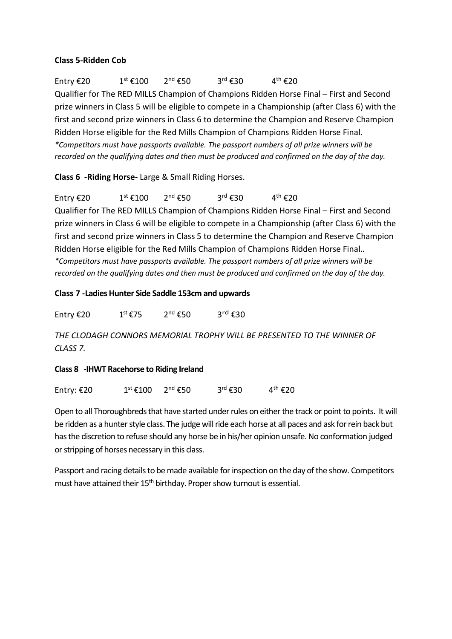#### Class 5-Ridden Cob

Entry  $\epsilon$ 20 1st  $\epsilon$ 100 2<sup>nd</sup>  $\epsilon$ 50 3<sup>rd</sup>  $\epsilon$ 30 4<sup>th</sup>  $\epsilon$ 20 Qualifier for The RED MILLS Champion of Champions Ridden Horse Final – First and Second prize winners in Class 5 will be eligible to compete in a Championship (after Class 6) with the first and second prize winners in Class 6 to determine the Champion and Reserve Champion Ridden Horse eligible for the Red Mills Champion of Champions Ridden Horse Final. \*Competitors must have passports available. The passport numbers of all prize winners will be recorded on the qualifying dates and then must be produced and confirmed on the day of the day.

Class 6 -Riding Horse- Large & Small Riding Horses.

Entry €20  $1^{st}$  €100  $2^{nd}$  €50  $3^{rd}$  €30  $4^{th}$  €20 Qualifier for The RED MILLS Champion of Champions Ridden Horse Final – First and Second prize winners in Class 6 will be eligible to compete in a Championship (after Class 6) with the first and second prize winners in Class 5 to determine the Champion and Reserve Champion Ridden Horse eligible for the Red Mills Champion of Champions Ridden Horse Final.. \*Competitors must have passports available. The passport numbers of all prize winners will be recorded on the qualifying dates and then must be produced and confirmed on the day of the day.

#### Class 7 -Ladies Hunter Side Saddle 153cm and upwards

Entry  $\epsilon$ 20  $1^{\text{st}}$   $\epsilon$ 75  $2^{\text{nd}}$   $\epsilon$ 50  $3^{\text{rd}}$  €30

THE CLODAGH CONNORS MEMORIAL TROPHY WILL BE PRESENTED TO THE WINNER OF CLASS 7.

#### Class 8 -IHWT Racehorse to Riding Ireland

|  | Entry: $£20$ | $1^\text{st}$ €100 | $2^{\text{nd}}$ €50 | $3^{\text{rd}}$ €30 | $4^{\text{th}}$ €20 |
|--|--------------|--------------------|---------------------|---------------------|---------------------|
|--|--------------|--------------------|---------------------|---------------------|---------------------|

Open to all Thoroughbreds that have started under rules on either the track or point to points. It will be ridden as a hunter style class. The judge will ride each horse at all paces and ask for rein back but has the discretion to refuse should any horse be in his/her opinion unsafe. No conformation judged or stripping of horses necessary in this class.

Passport and racing details to be made available for inspection on the day of the show. Competitors must have attained their 15<sup>th</sup> birthday. Proper show turnout is essential.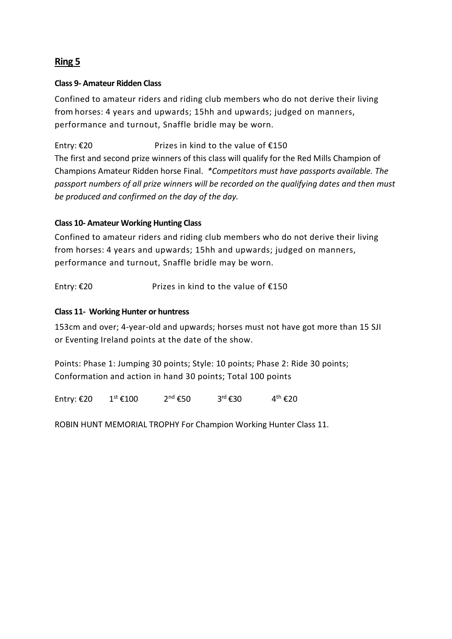# Ring 5

#### Class 9- Amateur Ridden Class

Confined to amateur riders and riding club members who do not derive their living from horses: 4 years and upwards; 15hh and upwards; judged on manners, performance and turnout, Snaffle bridle may be worn.

Entry: €20 Prizes in kind to the value of  $€150$ 

The first and second prize winners of this class will qualify for the Red Mills Champion of Champions Amateur Ridden horse Final. \*Competitors must have passports available. The passport numbers of all prize winners will be recorded on the qualifying dates and then must be produced and confirmed on the day of the day.

## Class 10- Amateur Working Hunting Class

Confined to amateur riders and riding club members who do not derive their living from horses: 4 years and upwards; 15hh and upwards; judged on manners, performance and turnout, Snaffle bridle may be worn.

Entry: €20 Prizes in kind to the value of  $€150$ 

#### Class 11- Working Hunter or huntress

153cm and over; 4-year-old and upwards; horses must not have got more than 15 SJI or Eventing Ireland points at the date of the show.

Points: Phase 1: Jumping 30 points; Style: 10 points; Phase 2: Ride 30 points; Conformation and action in hand 30 points; Total 100 points

Entry: €20 1st €100 2<sup>nd</sup> €50 3<sup>rd</sup> €30 4<sup>th</sup> €20

ROBIN HUNT MEMORIAL TROPHY For Champion Working Hunter Class 11.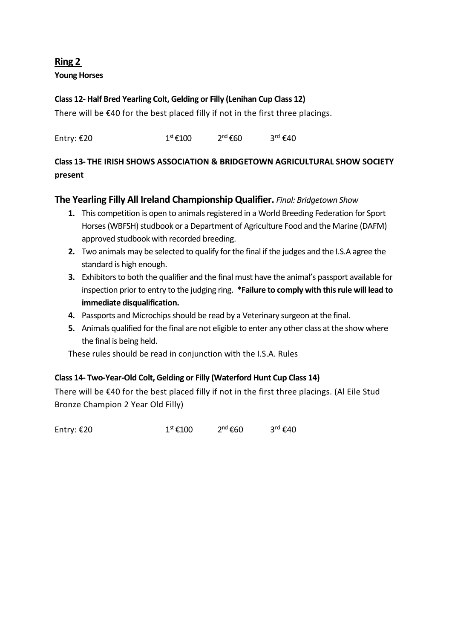# Ring 2 Young Horses

## Class 12- Half Bred Yearling Colt, Gelding or Filly (Lenihan Cup Class 12)

There will be  $\epsilon$ 40 for the best placed filly if not in the first three placings.

Entry:  $\epsilon$ 20 1st  $1^{st}$  $\epsilon$ 100  $2^{nd}$  $\epsilon$ 60  $3^{rd}$  $\epsilon$ 40

## Class 13- THE IRISH SHOWS ASSOCIATION & BRIDGETOWN AGRICULTURAL SHOW SOCIETY present

## The Yearling Filly All Ireland Championship Qualifier. Final: Bridgetown Show

- 1. This competition is open to animals registered in a World Breeding Federation for Sport Horses (WBFSH) studbook or a Department of Agriculture Food and the Marine (DAFM) approved studbook with recorded breeding.
- 2. Two animals may be selected to qualify for the final if the judges and the I.S.A agree the standard is high enough.
- 3. Exhibitors to both the qualifier and the final must have the animal's passport available for inspection prior to entry to the judging ring. \*Failure to comply with this rule will lead to immediate disqualification.
- 4. Passports and Microchips should be read by a Veterinary surgeon at the final.
- 5. Animals qualified for the final are not eligible to enter any other class at the show where the final is being held.

These rules should be read in conjunction with the I.S.A. Rules

## Class 14- Two-Year-Old Colt, Gelding or Filly (Waterford Hunt Cup Class 14)

There will be €40 for the best placed filly if not in the first three placings. (Al Eile Stud Bronze Champion 2 Year Old Filly)

Entry:  $\epsilon$ 20 1st  $1^{st}$   $\epsilon$ 100  $2^{nd}$   $\epsilon$ 60  $3^{rd}$   $\epsilon$ 40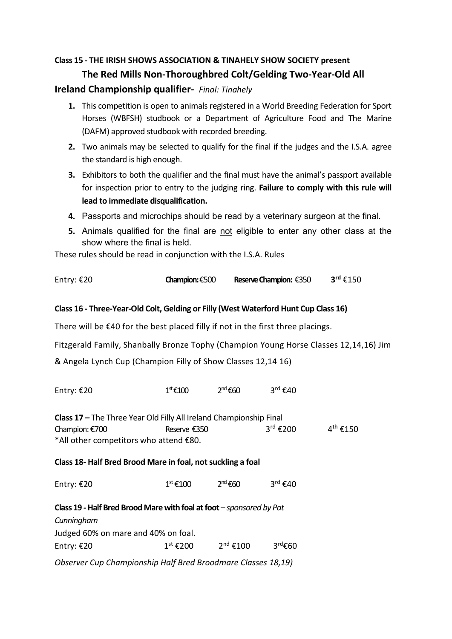# Class 15 - THE IRISH SHOWS ASSOCIATION & TINAHELY SHOW SOCIETY present The Red Mills Non-Thoroughbred Colt/Gelding Two-Year-Old All

## Ireland Championship qualifier- Final: Tinahely

- 1. This competition is open to animals registered in a World Breeding Federation for Sport Horses (WBFSH) studbook or a Department of Agriculture Food and The Marine (DAFM) approved studbook with recorded breeding.
- 2. Two animals may be selected to qualify for the final if the judges and the I.S.A. agree the standard is high enough.
- 3. Exhibitors to both the qualifier and the final must have the animal's passport available for inspection prior to entry to the judging ring. Failure to comply with this rule will lead to immediate disqualification.
- 4. Passports and microchips should be read by a veterinary surgeon at the final.
- 5. Animals qualified for the final are not eligible to enter any other class at the show where the final is held.

These rules should be read in conjunction with the I.S.A. Rules

| Entry: €20 | Champion: €500 | <b>Reserve Champion: €350</b> | $3^{\text{rd}}$ €150 |
|------------|----------------|-------------------------------|----------------------|
|            |                |                               |                      |

## Class 16 - Three-Year-Old Colt, Gelding or Filly (West Waterford Hunt Cup Class 16)

There will be €40 for the best placed filly if not in the first three placings.

Fitzgerald Family, Shanbally Bronze Tophy (Champion Young Horse Classes 12,14,16) Jim & Angela Lynch Cup (Champion Filly of Show Classes 12,14 16)

| Entry: €20                                                           | $1^{\text{st}}$ €100 | $2nd$ €60          | $3^{\text{rd}}$ €40  |                      |
|----------------------------------------------------------------------|----------------------|--------------------|----------------------|----------------------|
| Class 17 - The Three Year Old Filly All Ireland Championship Final   |                      |                    |                      |                      |
| Champion: €700                                                       | Reserve €350         |                    | $3^{\text{rd}}$ €200 | $4^{\text{th}}$ €150 |
| *All other competitors who attend €80.                               |                      |                    |                      |                      |
| Class 18- Half Bred Brood Mare in foal, not suckling a foal          |                      |                    |                      |                      |
| Entry: €20                                                           | 1 <sup>st</sup> €100 | $2nd$ €60          | $3^{\text{rd}}$ €40  |                      |
| Class 19 - Half Bred Brood Mare with foal at foot - sponsored by Pat |                      |                    |                      |                      |
| Cunningham                                                           |                      |                    |                      |                      |
| Judged 60% on mare and 40% on foal.                                  |                      |                    |                      |                      |
| Entry: €20                                                           | $1^\text{st}$ €200   | $2nd \epsilon 100$ | $3^{\text{rd}}$ £60  |                      |
| Observer Cup Championship Half Bred Broodmare Classes 18,19)         |                      |                    |                      |                      |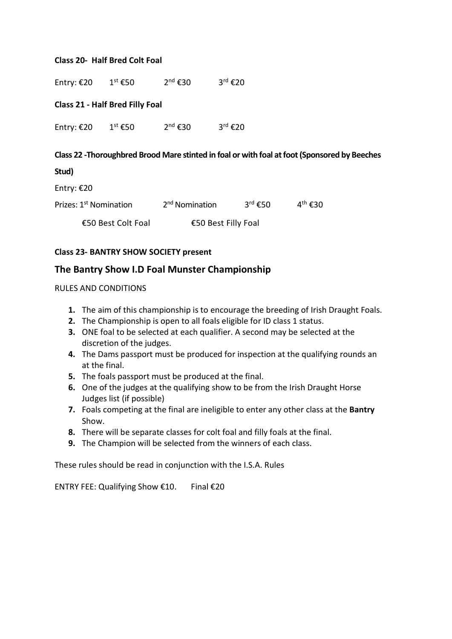#### Class 20- Half Bred Colt Foal

| Entry: $£20$ | $1^\text{st}$ €50                      | $2^{nd}$ €30 | $3^{\text{rd}}$ €20                                                                           |
|--------------|----------------------------------------|--------------|-----------------------------------------------------------------------------------------------|
|              | <b>Class 21 - Half Bred Filly Foal</b> |              |                                                                                               |
| Entry: €20   | $1^\text{st}$ €50                      | $2^{nd}$ €30 | $3^{\text{rd}}$ €20                                                                           |
| Stud)        |                                        |              | Class 22 - Thoroughbred Brood Mare stinted in foal or with foal at foot (Sponsored by Beeches |

Entry: €20

| Prizes: 1 <sup>st</sup> Nomination | 2 <sup>nd</sup> Nomination | $3^{\text{rd}}$ €50 | $4^{\text{th}}$ €30 |
|------------------------------------|----------------------------|---------------------|---------------------|
| €50 Best Colt Foal                 | €50 Best Filly Foal        |                     |                     |

#### Class 23- BANTRY SHOW SOCIETY present

## The Bantry Show I.D Foal Munster Championship

RULES AND CONDITIONS

- 1. The aim of this championship is to encourage the breeding of Irish Draught Foals.
- 2. The Championship is open to all foals eligible for ID class 1 status.
- 3. ONE foal to be selected at each qualifier. A second may be selected at the discretion of the judges.
- 4. The Dams passport must be produced for inspection at the qualifying rounds an at the final.
- 5. The foals passport must be produced at the final.
- 6. One of the judges at the qualifying show to be from the Irish Draught Horse Judges list (if possible)
- 7. Foals competing at the final are ineligible to enter any other class at the Bantry Show.
- 8. There will be separate classes for colt foal and filly foals at the final.
- 9. The Champion will be selected from the winners of each class.

These rules should be read in conjunction with the I.S.A. Rules

ENTRY FEE: Qualifying Show €10. Final €20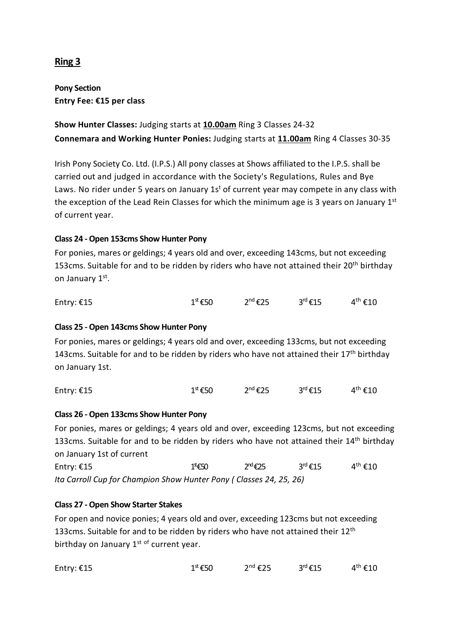# Ring 3

Pony Section Entry Fee: €15 per class

Show Hunter Classes: Judging starts at 10.00am Ring 3 Classes 24-32 Connemara and Working Hunter Ponies: Judging starts at 11.00am Ring 4 Classes 30-35

Irish Pony Society Co. Ltd. (I.P.S.) All pony classes at Shows affiliated to the I.P.S. shall be carried out and judged in accordance with the Society's Regulations, Rules and Bye Laws. No rider under 5 years on January 1s<sup>t</sup> of current year may compete in any class with the exception of the Lead Rein Classes for which the minimum age is 3 years on January  $1<sup>st</sup>$ of current year.

## Class 24 - Open 153cms Show Hunter Pony

For ponies, mares or geldings; 4 years old and over, exceeding 143cms, but not exceeding 153cms. Suitable for and to be ridden by riders who have not attained their  $20^{th}$  birthday on January 1st.

| Entry: €15 | $1^{\text{st}}$ €50 | $2^{nd}$ €25 | $3^{\text{rd}}$ €15 | $4^{\text{th}}$ €10 |
|------------|---------------------|--------------|---------------------|---------------------|
|            |                     |              |                     |                     |

#### Class 25 - Open 143cms Show Hunter Pony

For ponies, mares or geldings; 4 years old and over, exceeding 133cms, but not exceeding 143cms. Suitable for and to be ridden by riders who have not attained their  $17<sup>th</sup>$  birthday on January 1st.

| Entry: $£15$ | $1^{\text{st}}$ €50 | $2^{nd}$ €25 | $3^{\text{rd}}$ €15 | $4^{\text{th}}$ €10 |
|--------------|---------------------|--------------|---------------------|---------------------|
|--------------|---------------------|--------------|---------------------|---------------------|

#### Class 26 - Open 133cms Show Hunter Pony

For ponies, mares or geldings; 4 years old and over, exceeding 123cms, but not exceeding 133cms. Suitable for and to be ridden by riders who have not attained their  $14<sup>th</sup>$  birthday on January 1st of current Entry:  $\epsilon$ 15 1<sup>st</sup> $\epsilon$ 50 2<sup>nd</sup> $\epsilon$ 25 3<sup>rd</sup> $\epsilon$ 15  $4^{\text{th}}$  €10 Ita Carroll Cup for Champion Show Hunter Pony ( Classes 24, 25, 26)

#### Class 27 - Open Show Starter Stakes

For open and novice ponies; 4 years old and over, exceeding 123cms but not exceeding 133cms. Suitable for and to be ridden by riders who have not attained their  $12<sup>th</sup>$ birthday on January  $1^{st}$  of current year.

| $3rd$ €15<br>$2^{nd}$ €25<br>$1^{\text{st}}$ €50<br>Entry: $£15$ | $4^{\text{th}}$ €10 |
|------------------------------------------------------------------|---------------------|
|------------------------------------------------------------------|---------------------|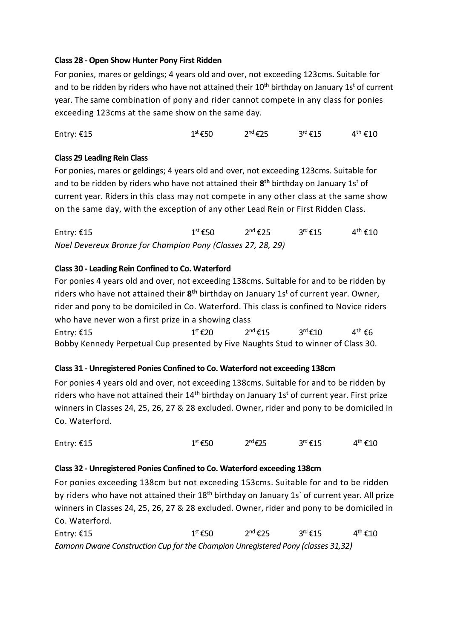#### Class 28 - Open Show Hunter Pony First Ridden

For ponies, mares or geldings; 4 years old and over, not exceeding 123cms. Suitable for and to be ridden by riders who have not attained their 10<sup>th</sup> birthday on January 1s<sup>t</sup> of current year. The same combination of pony and rider cannot compete in any class for ponies exceeding 123cms at the same show on the same day.

Entry:  $\epsilon$ 15 1st Equation  $1^{st}$   $\epsilon$ 50  $2^{nd}$   $\epsilon$ 25  $3^{rd}$   $\epsilon$ 15  $4^{th}$   $\epsilon$ 10

#### Class 29 Leading Rein Class

For ponies, mares or geldings; 4 years old and over, not exceeding 123cms. Suitable for and to be ridden by riders who have not attained their  $8<sup>th</sup>$  birthday on January 1s<sup>t</sup> of current year. Riders in this class may not compete in any other class at the same show on the same day, with the exception of any other Lead Rein or First Ridden Class.

Entry: €15 1st  $1^{st}$  €50  $2^{nd}$  €25  $3^{rd}$  €15  $4^{th}$  €10 Noel Devereux Bronze for Champion Pony (Classes 27, 28, 29)

#### Class 30 - Leading Rein Confined to Co. Waterford

For ponies 4 years old and over, not exceeding 138cms. Suitable for and to be ridden by riders who have not attained their  $8<sup>th</sup>$  birthday on January 1s<sup>t</sup> of current year. Owner, rider and pony to be domiciled in Co. Waterford. This class is confined to Novice riders who have never won a first prize in a showing class Entry: €15 1st  $1^{st}$  €20  $2^{nd}$  €15  $3^{rd}$  €10  $4^{th}$  €6

Bobby Kennedy Perpetual Cup presented by Five Naughts Stud to winner of Class 30.

## Class 31 - Unregistered Ponies Confined to Co. Waterford not exceeding 138cm

For ponies 4 years old and over, not exceeding 138cms. Suitable for and to be ridden by riders who have not attained their  $14<sup>th</sup>$  birthday on January  $1s<sup>t</sup>$  of current year. First prize winners in Classes 24, 25, 26, 27 & 28 excluded. Owner, rider and pony to be domiciled in Co. Waterford.

| Entry: $£15$ | $1st$ €50 | $2nd \epsilon 25$ | $3^{\text{rd}}$ €15 | $4^{\text{th}}$ €10 |
|--------------|-----------|-------------------|---------------------|---------------------|
|--------------|-----------|-------------------|---------------------|---------------------|

#### Class 32 - Unregistered Ponies Confined to Co. Waterford exceeding 138cm

For ponies exceeding 138cm but not exceeding 153cms. Suitable for and to be ridden by riders who have not attained their 18<sup>th</sup> birthday on January 1s' of current year. All prize winners in Classes 24, 25, 26, 27 & 28 excluded. Owner, rider and pony to be domiciled in Co. Waterford.

Entry:  $\epsilon$ 15 1st E10 1st  $1^{st}$   $\epsilon$ 50  $2^{nd}$   $\epsilon$ 25  $3^{rd}$   $\epsilon$ 15  $4^{th}$   $\epsilon$ 10 Eamonn Dwane Construction Cup for the Champion Unregistered Pony (classes 31,32)